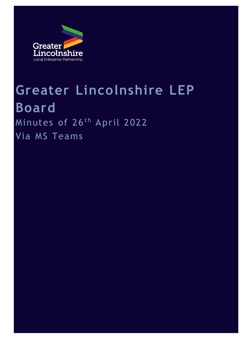

# **Greater Lincolnshire LEP Board** Minutes of 26<sup>th</sup> April 2022 Via MS Teams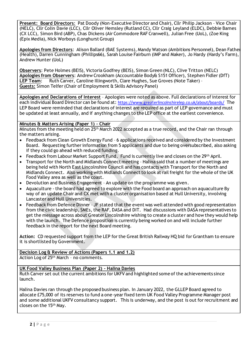**Present: Board Directors**: Pat Doody (Non-Executive Director and Chair), Cllr Philip Jackson – Vice Chair (NELC), Cllr Colin Davie (LCC), Cllr Oliver Hemsley (Rutland CC), Cllr Craig Leyland (ELDC), Debbie Barnes (CX LCC), Simon Bird (ABP), Chas Dickens (Air Commodore RAF Cranwell), Julian Free (UoL), (Zoe King (Epix Media), Nick Worboys (Longhurst Group)

**Apologies from Directors**: Alison Ballard (BAE Systems), Mandy Watson (Ambitions Personnel), Dean Fathers (Health), Darren Cunningham (Phillips66), Sarah Louise Fairburn (IMP and Maker), Jo Hardy (Hardy's Farm), Andrew Hunter (UoL)

**Observers**: Pete Holmes (BEIS), Victoria Godfrey (BEIS), Simon Green (NLC), Clive Tritton (NELC) **Apologies from Observers**: Andrew Crookham (Accountable Body& S151 Officer), Stephen Fidler (DfT) **LEP Team**: Ruth Carver, Caroline Illingworth, Clare Hughes, Sue Groves (Note Taker) – **Guests:** Simon Telfer (Chair of Employment & Skills Advisory Panel)

**Apologies and Declarations of Interest** – Apologies were noted as above. Full declarations of interest for each individual Board Director can be found at: <https://www.greaterlincolnshirelep.co.uk/about/boards/> The LEP Board were reminded that declarations of interest are required as part of LEP governance and must be updated at least annually, and if anything changes to the LEP office at the earliest convenience.

### **Minutes & Matters Arising (Paper 1) – Chair**

Minutes from the meeting held on 25th March 2022 accepted as a true record, and the Chair ran through the matters arising.

- Feedback from Clean Growth Energy Fund 6 applications received and considered by the Investment Board. Requesting further information from 5 applicants and due to being oversubscribed, also asking if they could go ahead with reduced funding.
- Feedback from Labour Market Support Fund. Fund is currently live and closes on the 29<sup>th</sup> April.
- Transport for the North and Midlands Connect meeting Halina said that a number of meetings are being held with North East Lincolnshire Council and has contacts with Transport for the North and Midlands Connect. Also working with Midlands Connect to look at rail freight for the whole of the UK Food Valley area as well as the coast.
- Devolution and Business Engagement An update on the programme was given.
- Aquaculture the board had agreed to explore with the Food board an approach on aquaculture By way of an update Chair and CX met with a cluster organisation based at Hull University, involving Lancaster and Hull Universities.
- Feedback from Defence Dinner JF stated that the event was well attended with good representation from the civic leadership, SMEs, the RAF, DASA and DIT. Had discussions with DASA representatives to get the message across about Greater Lincolnshire wishing to create a cluster and how they would help with the launch. The Defence proposition is currently being worked on and will include further feedback in the report for the next Board meeting.

**Action:** CD requested support from the LEP for the Great British Railway HQ bid for Grantham to ensure it is shortlisted by Government.

**Decision Log & Review of Actions (Papers 1.1 and 1.2)** Action Log of 25<sup>th</sup> March - no comments.

### **UK Food Valley Business Plan (Paper 2) – Halina Davies**

Ruth Carver set out the current ambitions for UKFV and highlighted some of the achievements since launch.

Halina Davies ran through the proposed business plan. In January 2022, the GLLEP Board agreed to allocate £75,000 of its reserves to fund a one-year fixed term UK Food Valley Programme Manager post and some additional UKFV consultancy support. This is underway, and the post is out for recruitment and closes on the 15th May.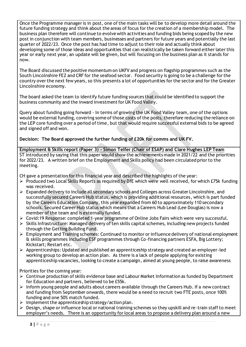Once the Programme manager is in post, one of the main tasks will be to develop more detail around the future funding strategy and think about the areas of focus for the creation of a membership model. The business plan therefore will continue to evolve with activities and funding bids being scoped by the new post in conjunction with team members, businesses and partners for future years and potentially the last quarter of 2022/23. Once the post has had time to adjust to their role and actually think about developing some of those ideas and opportunities that can realistically be taken forward either later this year or early next year, an update will be given, but will focusing on the business plan as it stands for now.

The Board discussed the positive momentum on UKFV and progress on flagship programmes such as the South Lincolnshire FEZ and CRF for the seafood sector. Food security is going to be a challenge for the country over the next few years, so this presents a lot of opportunities for the sector and for the Greater Lincolnshire economy.

The board asked the team to identify future funding sources that could be identified to support the business community and the inward investment for UK Food Valley.

Query about funding going forward - In terms of growing the UK Food Valley team, one of the options would be external funding, covering some of those costs of the posts, therefore reducing the reliance on the LEP core funding over a period of time, but that would require successful external bids to be agreed and signed off and won.

**Decision: The Board approved the further funding of £20k for comms and UK FV.**

**Employment & Skills report (Paper 3) – Simon Telfer (Chair of ESAP) and Clare Hughes LEP Team** ST introduced by saying that this paper would show the achievements made in 2021/22 and the priorities for 2022/23. A written brief on the Employment and Skills policy had been circulated prior to the meeting.

CH gave a presentation for this financial year and described the highlights of the year:

- ➢ Produced two Local Skills Reports as required by DfE which were well received, for which £75k funding was received.
- ➢ Expanded delivery to include all secondary schools and Colleges across Greater Lincolnshire, and successfully secured Careers Hub status, which is providing additional resources, which is part funded by the Careers Education Company, this year expanded from 60 to approximately 110 secondary schools. Secured Career Hub status which means that a Careers Hub Lead (Lee Douglas) is now a member of the team and is externally funded.
- ➢ Covid:19 Response: completed 1-year programme of Online Jobs Fairs which were very successful.
- ➢ Skills Infrastructure: Managed delivery of ten skills capital schemes, including new projects funded through the Getting Building Fund.
- ➢ Employment and Training schemes: Continued to monitor or influence delivery of national employment & skills programmes including ESF programmes through Co-financing partners ESFA, Big Lottery; Kickstart; Restart etc.
- $\triangleright$  Apprenticeships: Updated and published an apprenticeship strategy and created an employer-led working group to develop an action plan. As there is a lack of people applying for existing apprenticeship vacancies, looking to create a campaign, aimed at young people, to raise awareness

Priorities for the coming year:

- $\triangleright$  Continue production of skills evidence base and Labour Market Information as funded by Department for Education and partners, believed to be £55k.
- $\triangleright$  Inform young people and adults about careers available through the Careers Hub. If a new contract and funding from September onwards, there would be a need to recruit two FTE posts, once 100% funding and one 50% match funded.
- $\triangleright$  Implement the apprenticeship strategy/action plan.
- $\triangleright$  Design, shape or influence local or national training schemes so they upskill and re-train staff to meet employer's needs. There is an opportunity for local areas to propose a delivery plan around a new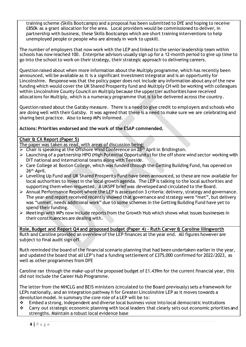training scheme (Skills Bootcamps) and a proposal has been submitted to DfE and hoping to receive £850k as a grant allocation for the area. Local providers would be commissioned to deliver, in partnership with business, these Skills Bootcamps which are short training interventions to help unemployed people or people who are already in work to upskill.

The number of employers that now work with the LEP and linked to the senior leadership team within schools has now reached 100. Enterprise advisors usually sign up for a 12-month period to give up time to go into the school to work on their strategy, their strategic approach to delivering careers.

Question raised about when more information about the Multiply programme, which has recently been announced, will be available as it is a significant investment integrator and is an opportunity for Lincolnshire. Response was that the policy paper does not include any information about any of the new funding which would cover the UK Shared Prosperity fund and Multiply CH will be working with colleagues within Lincolnshire County Council on Multiply because the upper tier authorities have received allocations for Multiply, which is a numeracy programme that is to be delivered across the country.

Question raised about the Gatsby measure. There is a need to give credit to employers and schools who are doing well with their Gatsby. It was agreed that there is a need to make sure we are celebrating and sharing best practice. Also to keep MPs informed.

# **Actions: Priorities endorsed and the work of the ESAP commended.**

### **Chair & CX Report (Paper 5)**

The paper was taken as read, with areas of discussion being:

- $\triangleright$  Chair is speaking at the Offshore Wind Conference on 28<sup>th</sup> April in Bridlington.
- $\triangleright$  Launching of a partnership HPO (High Potential Opportunity) for the off shore wind sector working with DIT national and international teams along with Teeside.
- ➢ Care College at Boston College, which was funded through the Getting Building Fund, has opened on 26th April.
- ➢ Levelling Up Fund and UK Shared Prosperity Fund have been announced, so these are now available for local authorities to invest in the local growth agenda. The LEP is talking to the local authorities and supporting them when requested. A UKSPF brief was developed and circulated to the Board.
- ➢ Annual Performance Report where the LEP is assessed on 3 criteria: delivery, strategy and governance. The year-end report received recently showed that governance and strategy were "met", but delivery was "unmet, needs additional work" due to some schemes in the Getting Building Fund have yet to spend their funding.
- ➢ Meetings with MPs now include reports from the Growth Hub which shows what issues businesses in their constituencies are dealing with.

**Role, Budget and Report Q4 and proposed budget (Paper 4) – Ruth Carver & Caroline Illingworth** Ruth and Caroline provided an overview of the LEP finances at the year end. All figures however are subject to final audit sign off.

Ruth reminded the board of the financial scenario planning that had been undertaken earlier in the year, and updated the board that all LEP's had a funding settlement of £375,000 confirmed for 2022/2023, as well as other programmes from DFE

Caroline ran through the make-up of the proposed budget of £1.439m for the current financial year, this did not include the Career Hub Programme.

The letter from the MHCLG and BEIS ministers (circulated to the Board previously) sets a framework for LEPs nationally, and an integration pathway II for Greater Lincolnshire LEP as it moves towards a devolution model. In summary the core role of a LEP will be to:

- $\cdot \cdot$  Embed a strong, independent and diverse local business voice into local democratic institutions
- ❖ Carry out strategic economic planning with local leaders that clearly sets out economic priorities and strengths. Maintain a robust local evidence base